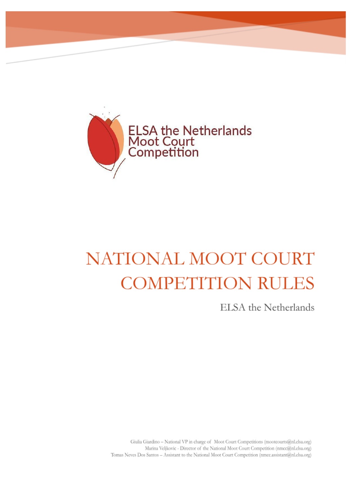

# NATIONAL MOOT COURT **COMPETITION RULES**

ELSA the Netherlands

Giulia Giardino - National VP in charge of Moot Court Competitions (mootcourts@nl.elsa.org) Marina Veljkovic - Director of the National Moot Court Competition (nmcc@nl.elsa.org) Tomas Neves Dos Santos - Assistant to the National Moot Court Competition (nmcc.assistant@nl.elsa.org)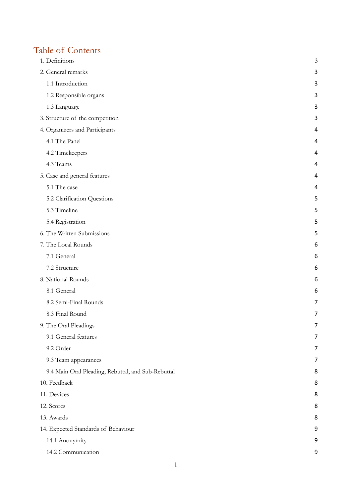# Table of Contents

| 1. Definitions                                     | 3 |
|----------------------------------------------------|---|
| 2. General remarks                                 | 3 |
| 1.1 Introduction                                   | 3 |
| 1.2 Responsible organs                             | 3 |
| 1.3 Language                                       | 3 |
| 3. Structure of the competition                    | 3 |
| 4. Organizers and Participants                     | 4 |
| 4.1 The Panel                                      | 4 |
| 4.2 Timekeepers                                    | 4 |
| 4.3 Teams                                          | 4 |
| 5. Case and general features                       | 4 |
| 5.1 The case                                       | 4 |
| 5.2 Clarification Questions                        | 5 |
| 5.3 Timeline                                       | 5 |
| 5.4 Registration                                   | 5 |
| 6. The Written Submissions                         | 5 |
| 7. The Local Rounds                                | 6 |
| 7.1 General                                        | 6 |
| 7.2 Structure                                      | 6 |
| 8. National Rounds                                 | 6 |
| 8.1 General                                        | 6 |
| 8.2 Semi-Final Rounds                              | 7 |
| 8.3 Final Round                                    | 7 |
| 9. The Oral Pleadings                              | 7 |
| 9.1 General features                               | 7 |
| 9.2 Order                                          | 7 |
| 9.3 Team appearances                               | 7 |
| 9.4 Main Oral Pleading, Rebuttal, and Sub-Rebuttal | 8 |
| 10. Feedback                                       | 8 |
| 11. Devices                                        | 8 |
| 12. Scores                                         | 8 |
| 13. Awards                                         | 8 |
| 14. Expected Standards of Behaviour                | 9 |
| 14.1 Anonymity                                     | 9 |
| 14.2 Communication                                 | 9 |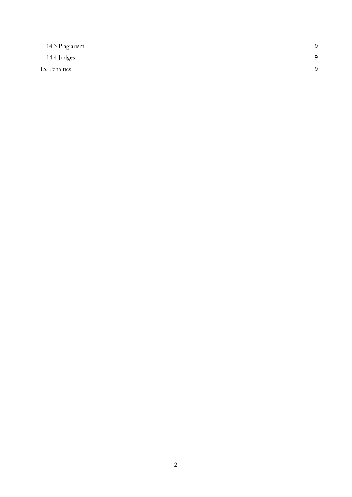| 14.3 Plagiarism | 9 |
|-----------------|---|
| 14.4 Judges     | 9 |
| 15. Penalties   | q |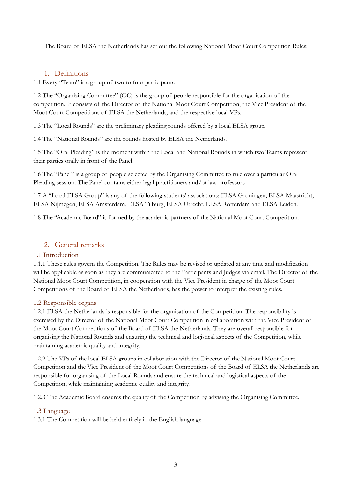The Board of ELSA the Netherlands has set out the following National Moot Court Competition Rules:

# <span id="page-3-0"></span>1. Definitions

1.1 Every "Team" is a group of two to four participants.

1.2 The "Organizing Committee" (OC) is the group of people responsible for the organisation of the competition. It consists of the Director of the National Moot Court Competition, the Vice President of the Moot Court Competitions of ELSA the Netherlands, and the respective local VPs.

1.3 The "Local Rounds" are the preliminary pleading rounds offered by a local ELSA group.

1.4 The "National Rounds" are the rounds hosted by ELSA the Netherlands.

1.5 The "Oral Pleading" is the moment within the Local and National Rounds in which two Teams represent their parties orally in front of the Panel.

1.6 The "Panel" is a group of people selected by the Organising Committee to rule over a particular Oral Pleading session. The Panel contains either legal practitioners and/or law professors.

1.7 A "Local ELSA Group" is any of the following students' associations: ELSA Groningen, ELSA Maastricht, ELSA Nijmegen, ELSA Amsterdam, ELSA Tilburg, ELSA Utrecht, ELSA Rotterdam and ELSA Leiden.

1.8 The "Academic Board" is formed by the academic partners of the National Moot Court Competition.

# <span id="page-3-1"></span>2. General remarks

#### <span id="page-3-2"></span>1.1 Introduction

1.1.1 These rules govern the Competition. The Rules may be revised or updated at any time and modification will be applicable as soon as they are communicated to the Participants and Judges via email. The Director of the National Moot Court Competition, in cooperation with the Vice President in charge of the Moot Court Competitions of the Board of ELSA the Netherlands, has the power to interpret the existing rules.

#### <span id="page-3-3"></span>1.2 Responsible organs

1.2.1 ELSA the Netherlands is responsible for the organisation of the Competition. The responsibility is exercised by the Director of the National Moot Court Competition in collaboration with the Vice President of the Moot Court Competitions of the Board of ELSA the Netherlands. They are overall responsible for organising the National Rounds and ensuring the technical and logistical aspects of the Competition, while maintaining academic quality and integrity.

1.2.2 The VPs of the local ELSA groups in collaboration with the Director of the National Moot Court Competition and the Vice President of the Moot Court Competitions of the Board of ELSA the Netherlands are responsible for organising of the Local Rounds and ensure the technical and logistical aspects of the Competition, while maintaining academic quality and integrity.

1.2.3 The Academic Board ensures the quality of the Competition by advising the Organising Committee.

#### <span id="page-3-4"></span>1.3 Language

1.3.1 The Competition will be held entirely in the English language.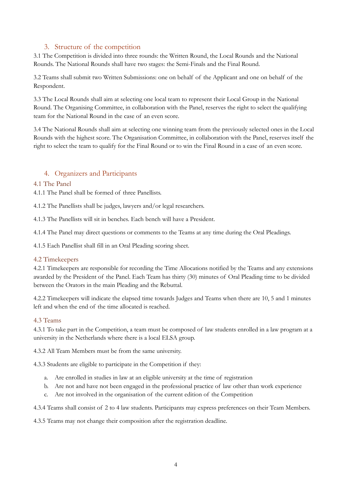# <span id="page-4-0"></span>3. Structure of the competition

3.1 The Competition is divided into three rounds: the Written Round, the Local Rounds and the National Rounds. The National Rounds shall have two stages: the Semi-Finals and the Final Round.

3.2 Teams shall submit two Written Submissions: one on behalf of the Applicant and one on behalf of the Respondent.

3.3 The Local Rounds shall aim at selecting one local team to represent their Local Group in the National Round. The Organising Committee, in collaboration with the Panel, reserves the right to select the qualifying team for the National Round in the case of an even score.

3.4 The National Rounds shall aim at selecting one winning team from the previously selected ones in the Local Rounds with the highest score. The Organisation Committee, in collaboration with the Panel, reserves itself the right to select the team to qualify for the Final Round or to win the Final Round in a case of an even score.

# <span id="page-4-1"></span>4. Organizers and Participants

#### <span id="page-4-2"></span>4.1 The Panel

4.1.1 The Panel shall be formed of three Panellists.

4.1.2 The Panellists shall be judges, lawyers and/or legal researchers.

4.1.3 The Panellists will sit in benches. Each bench will have a President.

4.1.4 The Panel may direct questions or comments to the Teams at any time during the Oral Pleadings.

4.1.5 Each Panellist shall fill in an Oral Pleading scoring sheet.

#### <span id="page-4-3"></span>4.2 Timekeepers

4.2.1 Timekeepers are responsible for recording the Time Allocations notified by the Teams and any extensions awarded by the President of the Panel. Each Team has thirty (30) minutes of Oral Pleading time to be divided between the Orators in the main Pleading and the Rebuttal.

4.2.2 Timekeepers will indicate the elapsed time towards Judges and Teams when there are 10, 5 and 1 minutes left and when the end of the time allocated is reached.

#### <span id="page-4-4"></span>4.3 Teams

4.3.1 To take part in the Competition, a team must be composed of law students enrolled in a law program at a university in the Netherlands where there is a local ELSA group.

4.3.2 All Team Members must be from the same university.

4.3.3 Students are eligible to participate in the Competition if they:

- a. Are enrolled in studies in law at an eligible university at the time of registration
- b. Are not and have not been engaged in the professional practice of law other than work experience
- c. Are not involved in the organisation of the current edition of the Competition

4.3.4 Teams shall consist of 2 to 4 law students. Participants may express preferences on their Team Members.

4.3.5 Teams may not change their composition after the registration deadline.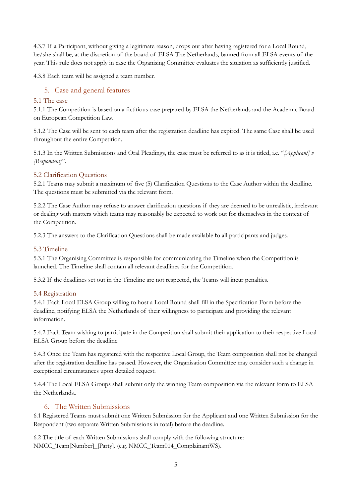4.3.7 If a Participant, without giving a legitimate reason, drops out after having registered for a Local Round, he/she shall be, at the discretion of the board of ELSA The Netherlands, banned from all ELSA events of the year. This rule does not apply in case the Organising Committee evaluates the situation as sufficiently justified.

4.3.8 Each team will be assigned a team number.

# <span id="page-5-0"></span>5. Case and general features

#### <span id="page-5-1"></span>5.1 The case

5.1.1 The Competition is based on a fictitious case prepared by ELSA the Netherlands and the Academic Board on European Competition Law.

5.1.2 The Case will be sent to each team after the registration deadline has expired. The same Case shall be used throughout the entire Competition.

5.1.3 In the Written Submissions and Oral Pleadings, the case must be referred to as it is titled, i.e. "*[Applicant] v [Respondent]*".

#### <span id="page-5-2"></span>5.2 Clarification Questions

5.2.1 Teams may submit a maximum of five (5) Clarification Questions to the Case Author within the deadline. The questions must be submitted via the relevant form.

5.2.2 The Case Author may refuse to answer clarification questions if they are deemed to be unrealistic, irrelevant or dealing with matters which teams may reasonably be expected to work out for themselves in the context of the Competition.

5.2.3 The answers to the Clarification Questions shall be made available to all participants and judges.

#### <span id="page-5-3"></span>5.3 Timeline

5.3.1 The Organising Committee is responsible for communicating the Timeline when the Competition is launched. The Timeline shall contain all relevant deadlines for the Competition.

5.3.2 If the deadlines set out in the Timeline are not respected, the Teams will incur penalties.

#### <span id="page-5-4"></span>5.4 Registration

5.4.1 Each Local ELSA Group willing to host a Local Round shall fill in the Specification Form before the deadline, notifying ELSA the Netherlands of their willingness to participate and providing the relevant information.

5.4.2 Each Team wishing to participate in the Competition shall submit their application to their respective Local ELSA Group before the deadline.

5.4.3 Once the Team has registered with the respective Local Group, the Team composition shall not be changed after the registration deadline has passed. However, the Organisation Committee may consider such a change in exceptional circumstances upon detailed request.

5.4.4 The Local ELSA Groups shall submit only the winning Team composition via the relevant form to ELSA the Netherlands..

#### <span id="page-5-5"></span>6. The Written Submissions

6.1 Registered Teams must submit one Written Submission for the Applicant and one Written Submission for the Respondent (two separate Written Submissions in total) before the deadline.

6.2 The title of each Written Submissions shall comply with the following structure: NMCC\_Team[Number]\_[Party]. (e.g. NMCC\_Team014\_ComplainantWS).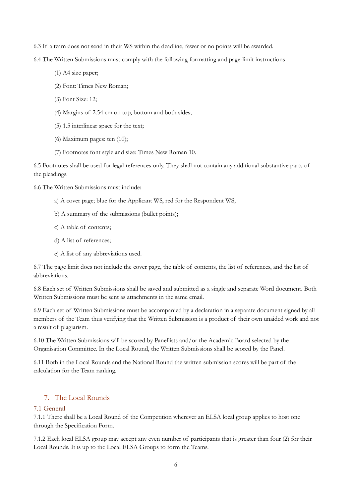6.3 If a team does not send in their WS within the deadline, fewer or no points will be awarded.

6.4 The Written Submissions must comply with the following formatting and page-limit instructions

- (1) A4 size paper;
- (2) Font: Times New Roman;
- (3) Font Size: 12;
- (4) Margins of 2.54 cm on top, bottom and both sides;
- (5) 1.5 interlinear space for the text;
- (6) Maximum pages: ten (10);
- (7) Footnotes font style and size: Times New Roman 10.

6.5 Footnotes shall be used for legal references only. They shall not contain any additional substantive parts of the pleadings.

6.6 The Written Submissions must include:

- a) A cover page; blue for the Applicant WS, red for the Respondent WS;
- b) A summary of the submissions (bullet points);
- c) A table of contents;
- d) A list of references;
- e) A list of any abbreviations used.

6.7 The page limit does not include the cover page, the table of contents, the list of references, and the list of abbreviations.

6.8 Each set of Written Submissions shall be saved and submitted as a single and separate Word document. Both Written Submissions must be sent as attachments in the same email.

6.9 Each set of Written Submissions must be accompanied by a declaration in a separate document signed by all members of the Team thus verifying that the Written Submission is a product of their own unaided work and not a result of plagiarism.

6.10 The Written Submissions will be scored by Panellists and/or the Academic Board selected by the Organisation Committee. In the Local Round, the Written Submissions shall be scored by the Panel.

6.11 Both in the Local Rounds and the National Round the written submission scores will be part of the calculation for the Team ranking.

# <span id="page-6-0"></span>7. The Local Rounds

#### <span id="page-6-1"></span>7.1 General

7.1.1 There shall be a Local Round of the Competition wherever an ELSA local group applies to host one through the Specification Form.

7.1.2 Each local ELSA group may accept any even number of participants that is greater than four (2) for their Local Rounds. It is up to the Local ELSA Groups to form the Teams.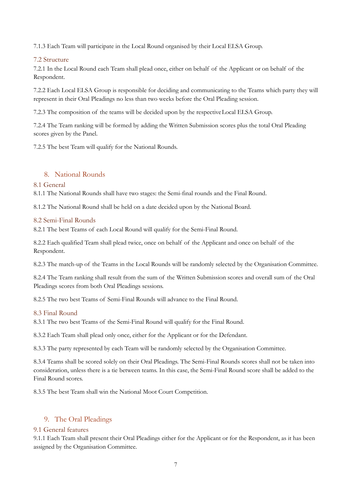7.1.3 Each Team will participate in the Local Round organised by their Local ELSA Group.

#### <span id="page-7-0"></span>7.2 Structure

7.2.1 In the Local Round each Team shall plead once, either on behalf of the Applicant or on behalf of the Respondent.

7.2.2 Each Local ELSA Group is responsible for deciding and communicating to the Teams which party they will represent in their Oral Pleadings no less than two weeks before the Oral Pleading session.

7.2.3 The composition of the teams will be decided upon by the respectiveLocal ELSA Group.

7.2.4 The Team ranking will be formed by adding the Written Submission scores plus the total Oral Pleading scores given by the Panel.

7.2.5 The best Team will qualify for the National Rounds.

# <span id="page-7-1"></span>8. National Rounds

#### <span id="page-7-2"></span>8.1 General

8.1.1 The National Rounds shall have two stages: the Semi-final rounds and the Final Round.

8.1.2 The National Round shall be held on a date decided upon by the National Board.

#### <span id="page-7-3"></span>8.2 Semi-Final Rounds

8.2.1 The best Teams of each Local Round will qualify for the Semi-Final Round.

8.2.2 Each qualified Team shall plead twice, once on behalf of the Applicant and once on behalf of the Respondent.

8.2.3 The match-up of the Teams in the Local Rounds will be randomly selected by the Organisation Committee.

8.2.4 The Team ranking shall result from the sum of the Written Submission scores and overall sum of the Oral Pleadings scores from both Oral Pleadings sessions.

8.2.5 The two best Teams of Semi-Final Rounds will advance to the Final Round.

#### <span id="page-7-4"></span>8.3 Final Round

8.3.1 The two best Teams of the Semi-Final Round will qualify for the Final Round.

8.3.2 Each Team shall plead only once, either for the Applicant or for the Defendant.

8.3.3 The party represented by each Team will be randomly selected by the Organisation Committee.

8.3.4 Teams shall be scored solely on their Oral Pleadings. The Semi-Final Rounds scores shall not be taken into consideration, unless there is a tie between teams. In this case, the Semi-Final Round score shall be added to the Final Round scores.

8.3.5 The best Team shall win the National Moot Court Competition.

# <span id="page-7-5"></span>9. The Oral Pleadings

#### <span id="page-7-6"></span>9.1 General features

9.1.1 Each Team shall present their Oral Pleadings either for the Applicant or for the Respondent, as it has been assigned by the Organisation Committee.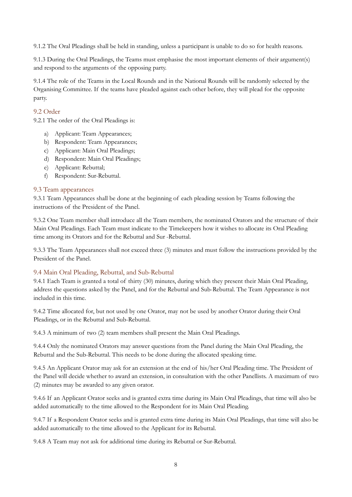9.1.2 The Oral Pleadings shall be held in standing, unless a participant is unable to do so for health reasons.

9.1.3 During the Oral Pleadings, the Teams must emphasise the most important elements of their argument(s) and respond to the arguments of the opposing party.

9.1.4 The role of the Teams in the Local Rounds and in the National Rounds will be randomly selected by the Organising Committee. If the teams have pleaded against each other before, they will plead for the opposite party.

#### <span id="page-8-0"></span>9.2 Order

9.2.1 The order of the Oral Pleadings is:

- a) Applicant: Team Appearances;
- b) Respondent: Team Appearances;
- c) Applicant: Main Oral Pleadings;
- d) Respondent: Main Oral Pleadings;
- e) Applicant: Rebuttal;
- f) Respondent: Sur-Rebuttal.

#### <span id="page-8-1"></span>9.3 Team appearances

9.3.1 Team Appearances shall be done at the beginning of each pleading session by Teams following the instructions of the President of the Panel.

9.3.2 One Team member shall introduce all the Team members, the nominated Orators and the structure of their Main Oral Pleadings. Each Team must indicate to the Timekeepers how it wishes to allocate its Oral Pleading time among its Orators and for the Rebuttal and Sur -Rebuttal.

9.3.3 The Team Appearances shall not exceed three (3) minutes and must follow the instructions provided by the President of the Panel.

#### <span id="page-8-2"></span>9.4 Main Oral Pleading, Rebuttal, and Sub-Rebuttal

9.4.1 Each Team is granted a total of thirty (30) minutes, during which they present their Main Oral Pleading, address the questions asked by the Panel, and for the Rebuttal and Sub-Rebuttal. The Team Appearance is not included in this time.

9.4.2 Time allocated for, but not used by one Orator, may not be used by another Orator during their Oral Pleadings, or in the Rebuttal and Sub-Rebuttal.

9.4.3 A minimum of two (2) team members shall present the Main Oral Pleadings.

9.4.4 Only the nominated Orators may answer questions from the Panel during the Main Oral Pleading, the Rebuttal and the Sub-Rebuttal. This needs to be done during the allocated speaking time.

9.4.5 An Applicant Orator may ask for an extension at the end of his/her Oral Pleading time. The President of the Panel will decide whether to award an extension, in consultation with the other Panellists. A maximum of two (2) minutes may be awarded to any given orator.

9.4.6 If an Applicant Orator seeks and is granted extra time during its Main Oral Pleadings, that time will also be added automatically to the time allowed to the Respondent for its Main Oral Pleading.

9.4.7 If a Respondent Orator seeks and is granted extra time during its Main Oral Pleadings, that time will also be added automatically to the time allowed to the Applicant for its Rebuttal.

9.4.8 A Team may not ask for additional time during its Rebuttal or Sur-Rebuttal.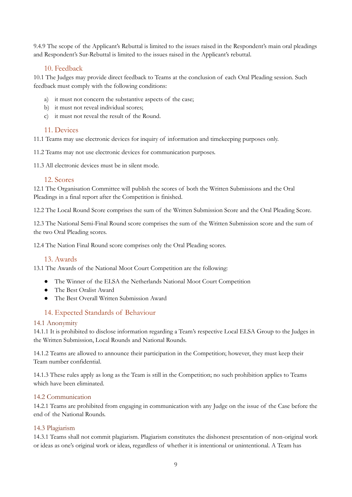9.4.9 The scope of the Applicant's Rebuttal is limited to the issues raised in the Respondent's main oral pleadings and Respondent's Sur-Rebuttal is limited to the issues raised in the Applicant's rebuttal.

# 10. Feedback

<span id="page-9-0"></span>10.1 The Judges may provide direct feedback to Teams at the conclusion of each Oral Pleading session. Such feedback must comply with the following conditions:

- a) it must not concern the substantive aspects of the case;
- b) it must not reveal individual scores;
- c) it must not reveal the result of the Round.

# <span id="page-9-1"></span>11. Devices

11.1 Teams may use electronic devices for inquiry of information and timekeeping purposes only.

11.2 Teams may not use electronic devices for communication purposes.

11.3 All electronic devices must be in silent mode.

#### <span id="page-9-2"></span>12. Scores

12.1 The Organisation Committee will publish the scores of both the Written Submissions and the Oral Pleadings in a final report after the Competition is finished.

12.2 The Local Round Score comprises the sum of the Written Submission Score and the Oral Pleading Score.

12.3 The National Semi-Final Round score comprises the sum of the Written Submission score and the sum of the two Oral Pleading scores.

12.4 The Nation Final Round score comprises only the Oral Pleading scores.

#### <span id="page-9-3"></span>13. Awards

13.1 The Awards of the National Moot Court Competition are the following:

- The Winner of the ELSA the Netherlands National Moot Court Competition
- The Best Oralist Award
- The Best Overall Written Submission Award

# <span id="page-9-4"></span>14. Expected Standards of Behaviour

#### <span id="page-9-5"></span>14.1 Anonymity

14.1.1 It is prohibited to disclose information regarding a Team's respective Local ELSA Group to the Judges in the Written Submission, Local Rounds and National Rounds.

14.1.2 Teams are allowed to announce their participation in the Competition; however, they must keep their Team number confidential.

14.1.3 These rules apply as long as the Team is still in the Competition; no such prohibition applies to Teams which have been eliminated.

#### <span id="page-9-6"></span>14.2 Communication

14.2.1 Teams are prohibited from engaging in communication with any Judge on the issue of the Case before the end of the National Rounds.

#### <span id="page-9-7"></span>14.3 Plagiarism

14.3.1 Teams shall not commit plagiarism. Plagiarism constitutes the dishonest presentation of non-original work or ideas as one's original work or ideas, regardless of whether it is intentional or unintentional. A Team has